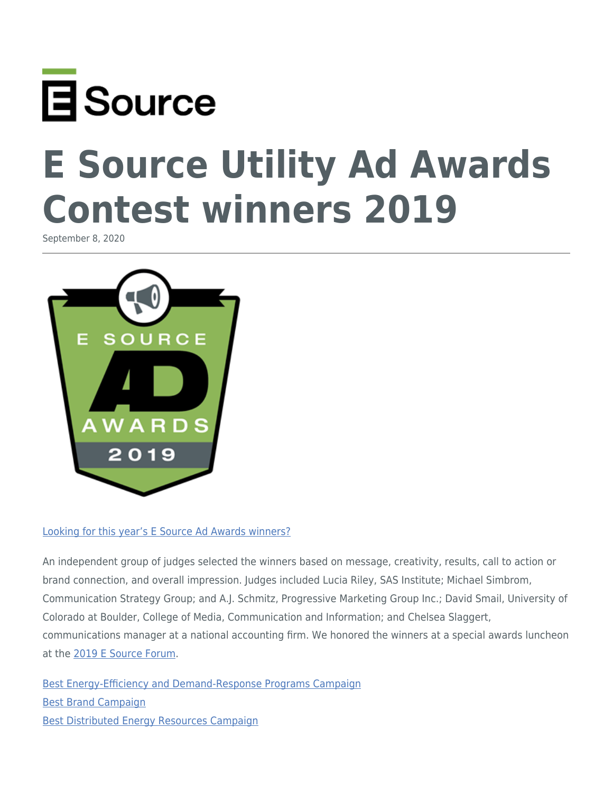

# **E Source Utility Ad Awards Contest winners 2019**

September 8, 2020



#### [Looking for this year's E Source Ad Awards winners?](https://www.esource.com/adcontest-winners)

An independent group of judges selected the winners based on message, creativity, results, call to action or brand connection, and overall impression. Judges included Lucia Riley, SAS Institute; Michael Simbrom, Communication Strategy Group; and A.J. Schmitz, Progressive Marketing Group Inc.; David Smail, University of Colorado at Boulder, College of Media, Communication and Information; and Chelsea Slaggert, communications manager at a national accounting firm. We honored the winners at a special awards luncheon at the [2019 E Source Forum](https://www.esource.com/forum2019).

[Best Energy-Efficiency and Demand-Response Programs Campaign](#page-1-0) [Best Brand Campaign](#page-4-0) [Best Distributed Energy Resources Campaign](#page-5-0)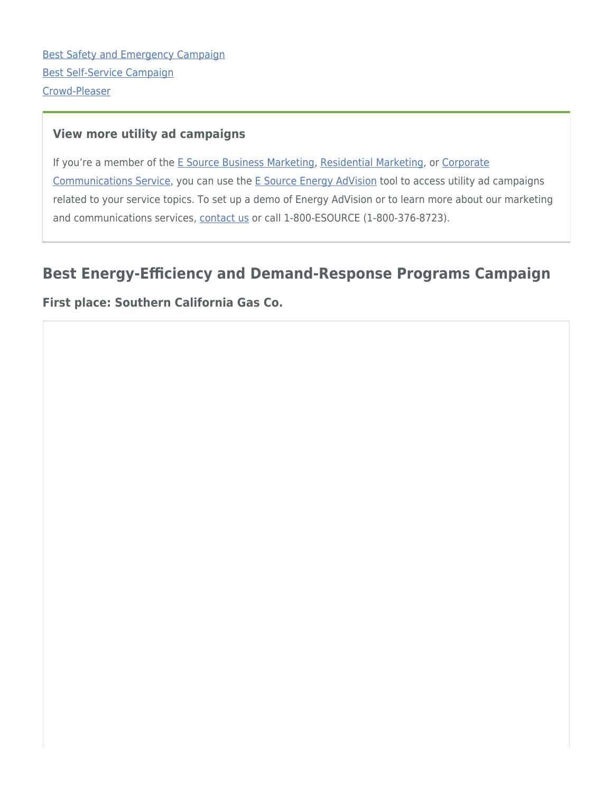[Best Safety and Emergency Campaign](#page-6-0) [Best Self-Service Campaign](#page-7-0) [Crowd-Pleaser](#page-8-0)

#### **View more utility ad campaigns**

If you're a member of the [E Source Business Marketing](https://www.esource.com/business-marketing-service-membership), [Residential Marketing](https://www.esource.com/residential-marketing-service-membership), or [Corporate](https://www.esource.com/corporate-communications-service-membership) [Communications Service](https://www.esource.com/corporate-communications-service-membership), you can use the [E Source Energy AdVision](https://www.esource.com/about-energyadvision) tool to access utility ad campaigns related to your service topics. To set up a demo of Energy AdVision or to learn more about our marketing and communications services, [contact us](https://www.esource.com/public/contact_us?subject=Marcom%20services%20and%20Energy%20AdVision%20demo) or call 1-800-ESOURCE (1-800-376-8723).

# <span id="page-1-0"></span>**Best Energy-Efficiency and Demand-Response Programs Campaign**

#### **First place: Southern California Gas Co.**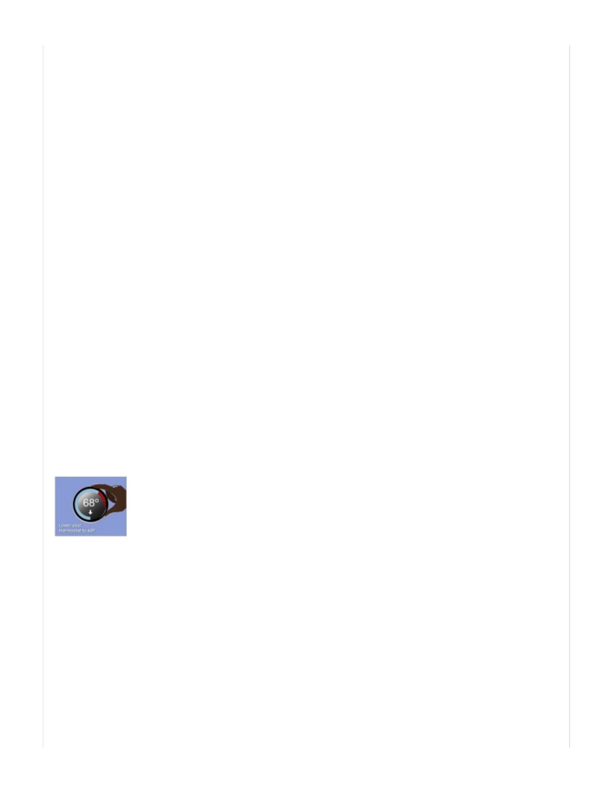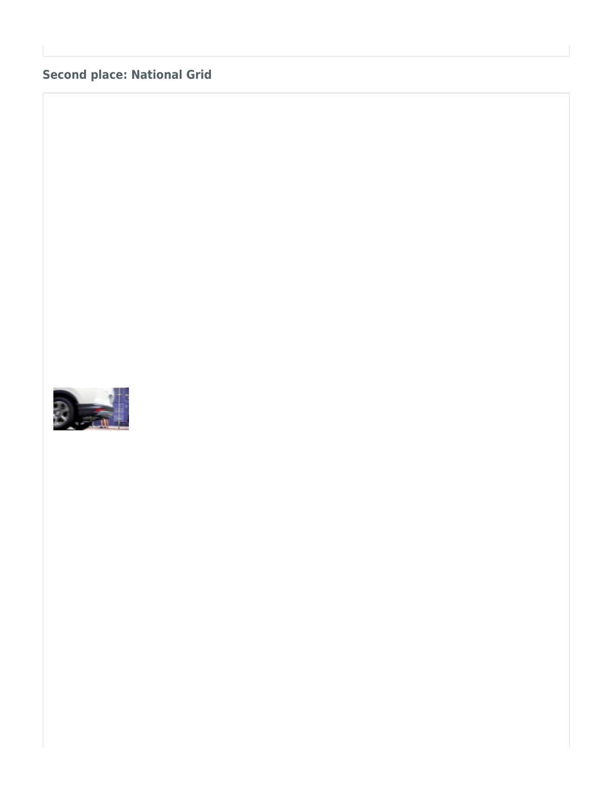## **Second place: National Grid**

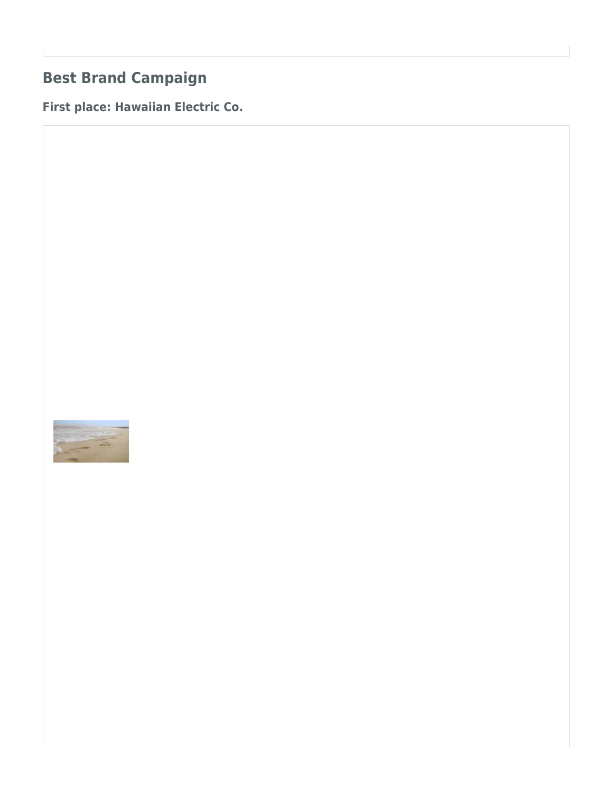# <span id="page-4-0"></span>**Best Brand Campaign**

**First place: Hawaiian Electric Co.**

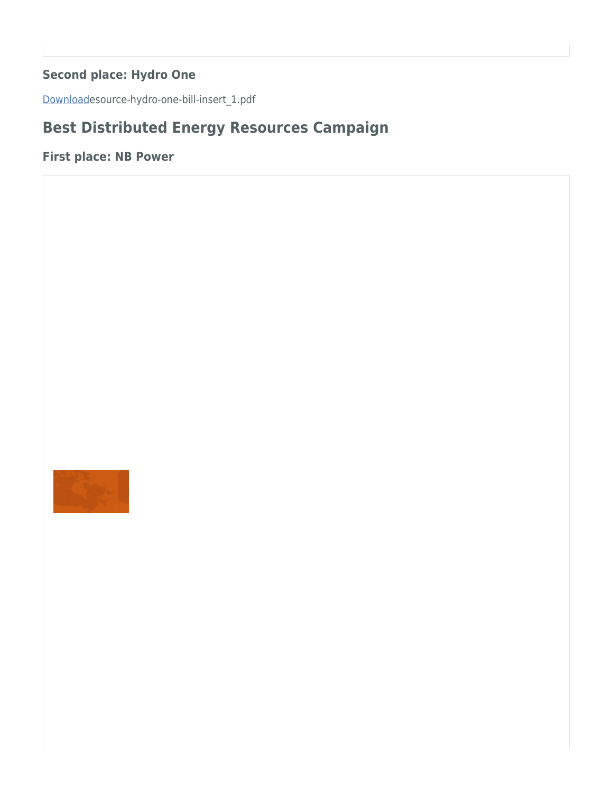## **Second place: Hydro One**

<span id="page-5-0"></span>[Download](https://www.esource.com/system/files/esource-hydro-one-bill-insert_1_0.pdf)esource-hydro-one-bill-insert\_1.pdf

# **Best Distributed Energy Resources Campaign**

**First place: NB Power**

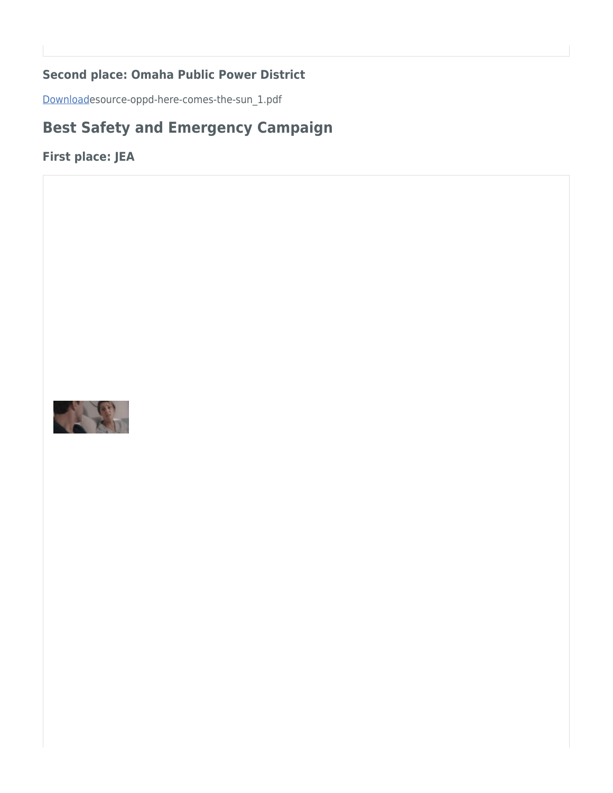### **Second place: Omaha Public Power District**

<span id="page-6-0"></span>[Download](https://www.esource.com/system/files/esource-oppd-here-comes-the-sun_1_0.pdf)esource-oppd-here-comes-the-sun\_1.pdf

# **Best Safety and Emergency Campaign**

**First place: JEA**

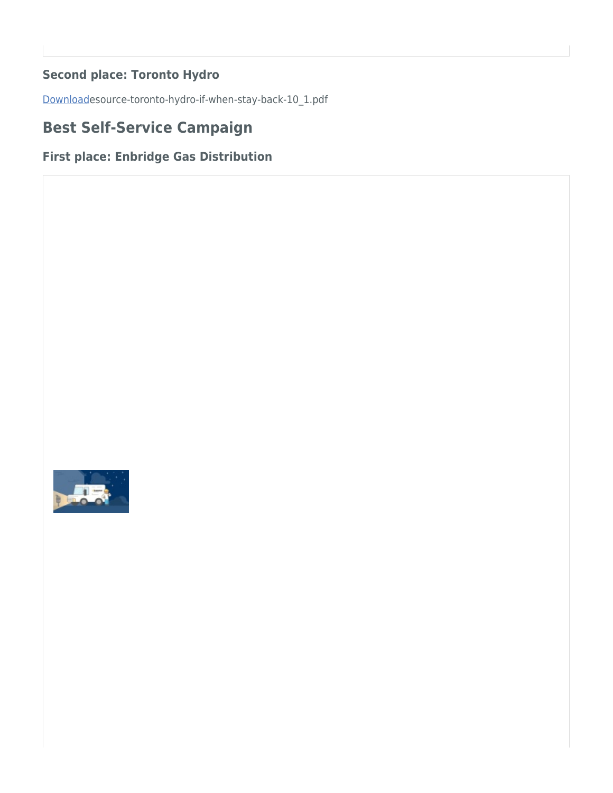## **Second place: Toronto Hydro**

<span id="page-7-0"></span>[Download](https://www.esource.com/system/files/esource-toronto-hydro-if-when-stay-back-10_1_0.pdf)esource-toronto-hydro-if-when-stay-back-10\_1.pdf

# **Best Self-Service Campaign**

## **First place: Enbridge Gas Distribution**

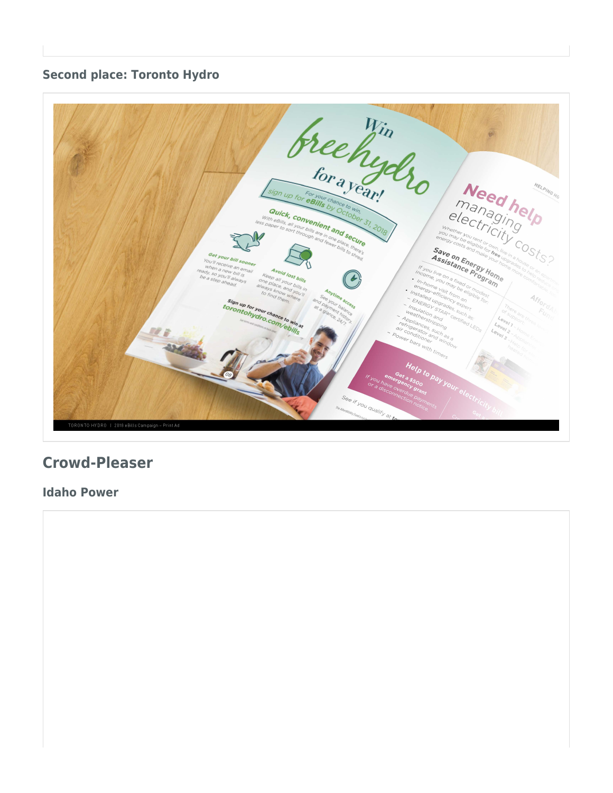#### **Second place: Toronto Hydro**



# <span id="page-8-0"></span>**Crowd-Pleaser**

**Idaho Power**